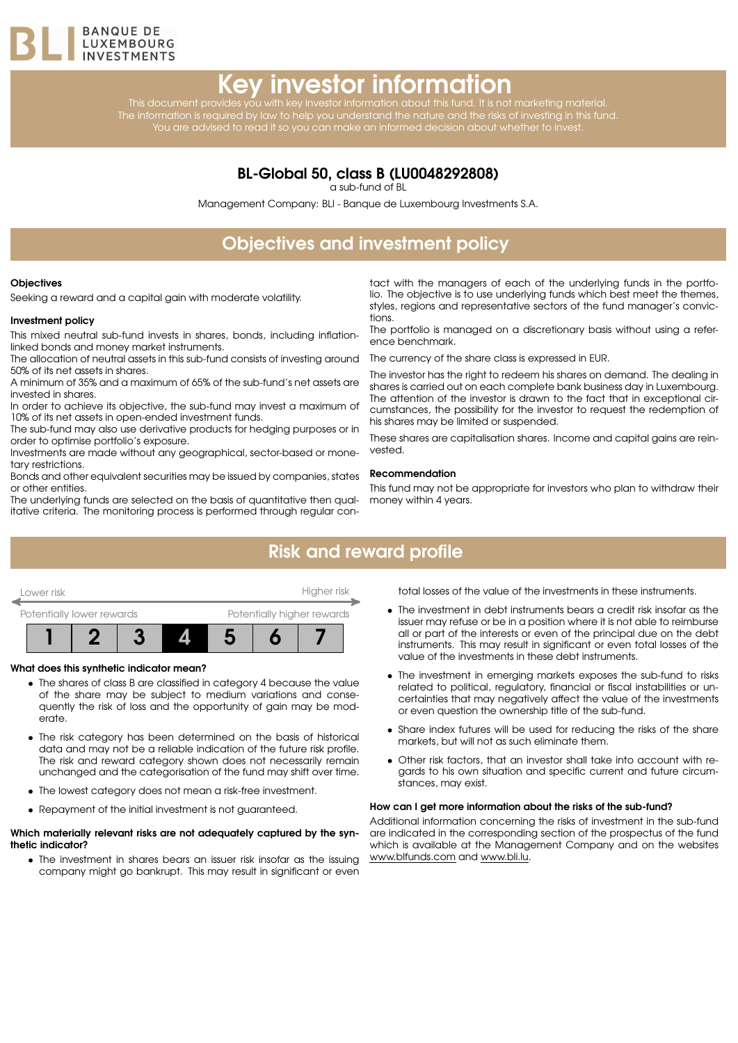

# Key investor information

This document provides you with key investor information about this fund. It is not marketing material. The information is required by law to help you understand the nature and the risks of investing in this fund. You are advised to read it so you can make an informed decision about whether to invest.

### BL-Global 50, class B (LU0048292808)

a sub-fund of BL

Management Company: BLI - Banque de Luxembourg Investments S.A.

# Objectives and investment policy

#### **Objectives**

Seeking a reward and a capital gain with moderate volatility.

#### Investment policy

This mixed neutral sub-fund invests in shares, bonds, including inflationlinked bonds and money market instruments.

The allocation of neutral assets in this sub-fund consists of investing around 50% of its net assets in shares.

A minimum of 35% and a maximum of 65% of the sub-fund's net assets are invested in shares.

In order to achieve its objective, the sub-fund may invest a maximum of 10% of its net assets in open-ended investment funds.

The sub-fund may also use derivative products for hedging purposes or in order to optimise portfolio's exposure.

Investments are made without any geographical, sector-based or monetary restrictions.

Bonds and other equivalent securities may be issued by companies, states or other entities.

The underlying funds are selected on the basis of quantitative then qualitative criteria. The monitoring process is performed through regular con-

tact with the managers of each of the underlying funds in the portfolio. The objective is to use underlying funds which best meet the themes, styles, regions and representative sectors of the fund manager's convictions.

The portfolio is managed on a discretionary basis without using a reference benchmark.

The currency of the share class is expressed in EUR.

The investor has the right to redeem his shares on demand. The dealing in shares is carried out on each complete bank business day in Luxembourg. The attention of the investor is drawn to the fact that in exceptional circumstances, the possibility for the investor to request the redemption of his shares may be limited or suspended.

These shares are capitalisation shares. Income and capital gains are reinvested.

#### Recommendation

This fund may not be appropriate for investors who plan to withdraw their money within 4 years.

## Risk and reward profile



#### What does this synthetic indicator mean?

- The shares of class B are classified in category 4 because the value of the share may be subject to medium variations and consequently the risk of loss and the opportunity of gain may be moderate.
- The risk category has been determined on the basis of historical data and may not be a reliable indication of the future risk profile. The risk and reward category shown does not necessarily remain unchanged and the categorisation of the fund may shift over time.
- The lowest category does not mean a risk-free investment.
- Repayment of the initial investment is not guaranteed.

#### Which materially relevant risks are not adequately captured by the synthetic indicator?

• The investment in shares bears an issuer risk insofar as the issuing company might go bankrupt. This may result in significant or even total losses of the value of the investments in these instruments.

- The investment in debt instruments bears a credit risk insofar as the issuer may refuse or be in a position where it is not able to reimburse all or part of the interests or even of the principal due on the debt instruments. This may result in significant or even total losses of the value of the investments in these debt instruments.
- The investment in emerging markets exposes the sub-fund to risks related to political, regulatory, financial or fiscal instabilities or uncertainties that may negatively affect the value of the investments or even question the ownership title of the sub-fund.
- Share index futures will be used for reducing the risks of the share markets, but will not as such eliminate them.
- Other risk factors, that an investor shall take into account with regards to his own situation and specific current and future circumstances, may exist.

#### How can I get more information about the risks of the sub-fund?

Additional information concerning the risks of investment in the sub-fund are indicated in the corresponding section of the prospectus of the fund which is available at the Management Company and on the websites [www.blfunds.com](http://www.blfunds.com) and [www.bli.lu.](http://www.bli.lu)